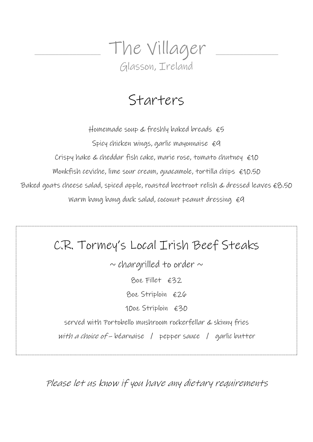

## Starters

Homemade soup & freshly baked breads  $&$   $\epsilon$ 5 Spicy chicken wings, garlic mayonnaise  $\epsilon q$ Crispy hake & cheddar fish cake, marie rose, tomato chutney €10 Monkfish ceviche, lime sour cream, quacamole, tortilla chips  $\epsilon$ 10.50 Baked goats cheese salad, spiced apple, roasted beetroot relish & dressed leaves €8.50 Warm bang bang duck salad, coconut peanut dressing  $\epsilon q$ 

# C.R. Tormey's Local Irish Beef Steaks  $\sim$  chargrilled to order  $\sim$ 8oz Fillet €32 8oz Striploin €26 10oz Striploin €30 served with Portobello mushroom rockerfellar & skinny fries with a choice of – béarnaise / pepper sauce / garlic butter

Please let us know if you have any dietary requirements